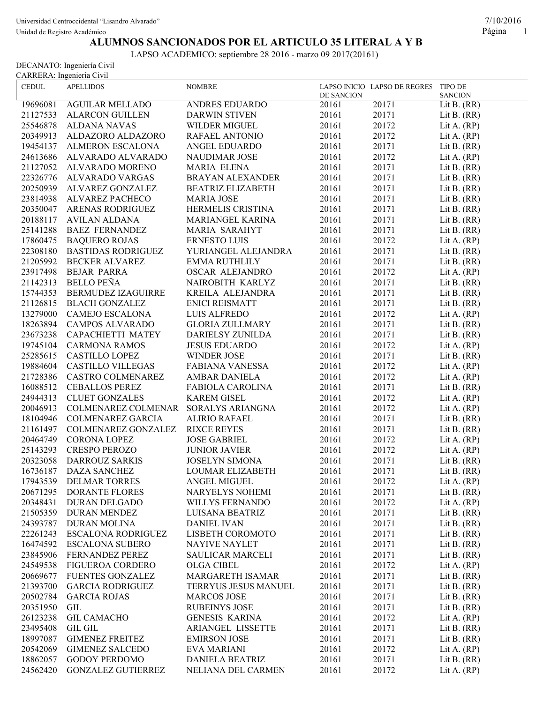Unidad de Registro Académico Página 1

## **ALUMNOS SANCIONADOS POR EL ARTICULO 35 LITERAL A Y B**

LAPSO ACADEMICO: septiembre 28 2016 - marzo 09 2017(20161)

DECANATO: Ingeniería Civil CARRERA: Ingenieria Civil

| <b>CEDUL</b> | <b>APELLIDOS</b>          | <b>NOMBRE</b>            | DE SANCION | LAPSO INICIO LAPSO DE REGRES TIPO DE | <b>SANCION</b> |
|--------------|---------------------------|--------------------------|------------|--------------------------------------|----------------|
| 19696081     | <b>AGUILAR MELLADO</b>    | ANDRES EDUARDO           | 20161      | 20171                                | Lit B. $(RR)$  |
| 21127533     | <b>ALARCON GUILLEN</b>    | <b>DARWIN STIVEN</b>     | 20161      | 20171                                | Lit B. $(RR)$  |
| 25546878     | <b>ALDANA NAVAS</b>       | WILDER MIGUEL            | 20161      | 20172                                | Lit A. $(RP)$  |
| 20349913     | ALDAZORO ALDAZORO         | RAFAEL ANTONIO           | 20161      | 20172                                | Lit A. $(RP)$  |
| 19454137     | ALMERON ESCALONA          | ANGEL EDUARDO            | 20161      | 20171                                | Lit B. $(RR)$  |
| 24613686     | ALVARADO ALVARADO         | <b>NAUDIMAR JOSE</b>     | 20161      | 20172                                | Lit A. $(RP)$  |
| 21127052     | ALVARADO MORENO           | <b>MARIA ELENA</b>       | 20161      | 20171                                | Lit B. $(RR)$  |
| 22326776     | ALVARADO VARGAS           | <b>BRAYAN ALEXANDER</b>  | 20161      | 20171                                | Lit B. $(RR)$  |
| 20250939     | ALVAREZ GONZALEZ          | <b>BEATRIZ ELIZABETH</b> | 20161      | 20171                                | Lit B. $(RR)$  |
| 23814938     | ALVAREZ PACHECO           | <b>MARIA JOSE</b>        | 20161      | 20171                                | Lit B. $(RR)$  |
| 20350047     | ARENAS RODRIGUEZ          | HERMELIS CRISTINA        | 20161      | 20171                                | Lit B. $(RR)$  |
| 20188117     | AVILAN ALDANA             | MARIANGEL KARINA         | 20161      | 20171                                | Lit B. $(RR)$  |
| 25141288     | <b>BAEZ FERNANDEZ</b>     | <b>MARIA SARAHYT</b>     | 20161      | 20171                                | Lit B. $(RR)$  |
|              |                           |                          |            |                                      |                |
| 17860475     | <b>BAQUERO ROJAS</b>      | ERNESTO LUIS             | 20161      | 20172                                | Lit A. $(RP)$  |
| 22308180     | <b>BASTIDAS RODRIGUEZ</b> | YURIANGEL ALEJANDRA      | 20161      | 20171                                | Lit B. $(RR)$  |
| 21205992     | <b>BECKER ALVAREZ</b>     | <b>EMMA RUTHLILY</b>     | 20161      | 20171                                | Lit B. $(RR)$  |
| 23917498     | <b>BEJAR PARRA</b>        | <b>OSCAR ALEJANDRO</b>   | 20161      | 20172                                | Lit A. $(RP)$  |
| 21142313     | <b>BELLO PEÑA</b>         | NAIROBITH KARLYZ         | 20161      | 20171                                | Lit B. $(RR)$  |
| 15744353     | BERMUDEZ IZAGUIRRE        | KREILA ALEJANDRA         | 20161      | 20171                                | Lit B. $(RR)$  |
| 21126815     | <b>BLACH GONZALEZ</b>     | <b>ENICI REISMATT</b>    | 20161      | 20171                                | Lit B. $(RR)$  |
| 13279000     | CAMEJO ESCALONA           | LUIS ALFREDO             | 20161      | 20172                                | Lit A. $(RP)$  |
| 18263894     | <b>CAMPOS ALVARADO</b>    | <b>GLORIA ZULLMARY</b>   | 20161      | 20171                                | Lit B. $(RR)$  |
| 23673238     | CAPACHIETTI MATEY         | DARIELSY ZUNILDA         | 20161      | 20171                                | Lit B. $(RR)$  |
| 19745104     | <b>CARMONA RAMOS</b>      | <b>JESUS EDUARDO</b>     | 20161      | 20172                                | Lit A. $(RP)$  |
| 25285615     | <b>CASTILLO LOPEZ</b>     | WINDER JOSE              | 20161      | 20171                                | Lit B. $(RR)$  |
| 19884604     | CASTILLO VILLEGAS         | <b>FABIANA VANESSA</b>   | 20161      | 20172                                | Lit A. $(RP)$  |
| 21728386     | CASTRO COLMENAREZ         | AMBAR DANIELA            | 20161      | 20172                                | Lit A. $(RP)$  |
| 16088512     | <b>CEBALLOS PEREZ</b>     | FABIOLA CAROLINA         | 20161      | 20171                                | Lit B. $(RR)$  |
| 24944313     | <b>CLUET GONZALES</b>     | <b>KAREM GISEL</b>       | 20161      | 20172                                | Lit A. $(RP)$  |
| 20046913     | COLMENAREZ COLMENAR       | SORALYS ARIANGNA         | 20161      | 20172                                | Lit A. $(RP)$  |
| 18104946     | COLMENAREZ GARCIA         | <b>ALIRIO RAFAEL</b>     | 20161      | 20171                                | Lit B. $(RR)$  |
| 21161497     | COLMENAREZ GONZALEZ       | <b>RIXCE REYES</b>       | 20161      | 20171                                | Lit B. $(RR)$  |
| 20464749     | CORONA LOPEZ              | <b>JOSE GABRIEL</b>      | 20161      | 20172                                | Lit A. $(RP)$  |
| 25143293     | <b>CRESPO PEROZO</b>      | <b>JUNIOR JAVIER</b>     | 20161      | 20172                                | Lit A. $(RP)$  |
| 20323058     | <b>DARROUZ SARKIS</b>     | <b>JOSELYN SIMONA</b>    | 20161      | 20171                                | Lit B. $(RR)$  |
| 16736187     | <b>DAZA SANCHEZ</b>       | <b>LOUMAR ELIZABETH</b>  | 20161      | 20171                                | Lit B. $(RR)$  |
|              | 17943539 DELMAR TORRES    | ANGEL MIGUEL             | 20161      | 20172                                | Lit A. $(RP)$  |
| 20671295     | <b>DORANTE FLORES</b>     | NARYELYS NOHEMI          | 20161      | 20171                                | Lit B. $(RR)$  |
| 20348431     | <b>DURAN DELGADO</b>      | <b>WILLYS FERNANDO</b>   | 20161      | 20172                                | Lit A. $(RP)$  |
| 21505359     | <b>DURAN MENDEZ</b>       | LUISANA BEATRIZ          | 20161      | 20171                                | Lit B. $(RR)$  |
| 24393787     | <b>DURAN MOLINA</b>       | <b>DANIEL IVAN</b>       | 20161      | 20171                                | Lit B. $(RR)$  |
| 22261243     | ESCALONA RODRIGUEZ        | LISBETH COROMOTO         | 20161      | 20171                                | Lit B. $(RR)$  |
| 16474592     | <b>ESCALONA SUBERO</b>    | <b>NAYIVE NAYLET</b>     | 20161      | 20171                                | Lit B. $(RR)$  |
| 23845906     | FERNANDEZ PEREZ           | SAULICAR MARCELI         | 20161      | 20171                                | Lit B. $(RR)$  |
| 24549538     | FIGUEROA CORDERO          | <b>OLGA CIBEL</b>        | 20161      | 20172                                | Lit A. $(RP)$  |
| 20669677     | FUENTES GONZALEZ          | MARGARETH ISAMAR         | 20161      | 20171                                | Lit B. $(RR)$  |
| 21393700     | <b>GARCIA RODRIGUEZ</b>   | TERRYUS JESUS MANUEL     | 20161      | 20171                                | Lit B. $(RR)$  |
| 20502784     | <b>GARCIA ROJAS</b>       | <b>MARCOS JOSE</b>       | 20161      | 20171                                | Lit B. $(RR)$  |
| 20351950     | GIL                       | <b>RUBEINYS JOSE</b>     | 20161      | 20171                                | Lit B. $(RR)$  |
| 26123238     | <b>GIL CAMACHO</b>        | <b>GENESIS KARINA</b>    | 20161      | 20172                                | Lit A. $(RP)$  |
| 23495408     | <b>GIL GIL</b>            | <b>ARIANGEL LISSETTE</b> | 20161      | 20171                                | Lit B. $(RR)$  |
| 18997087     | <b>GIMENEZ FREITEZ</b>    | <b>EMIRSON JOSE</b>      | 20161      | 20171                                | Lit B. $(RR)$  |
| 20542069     | <b>GIMENEZ SALCEDO</b>    | <b>EVA MARIANI</b>       | 20161      | 20172                                | Lit A. $(RP)$  |
| 18862057     | <b>GODOY PERDOMO</b>      | <b>DANIELA BEATRIZ</b>   | 20161      | 20171                                | Lit B. $(RR)$  |
| 24562420     | <b>GONZALEZ GUTIERREZ</b> | NELIANA DEL CARMEN       | 20161      | 20172                                | Lit A. $(RP)$  |
|              |                           |                          |            |                                      |                |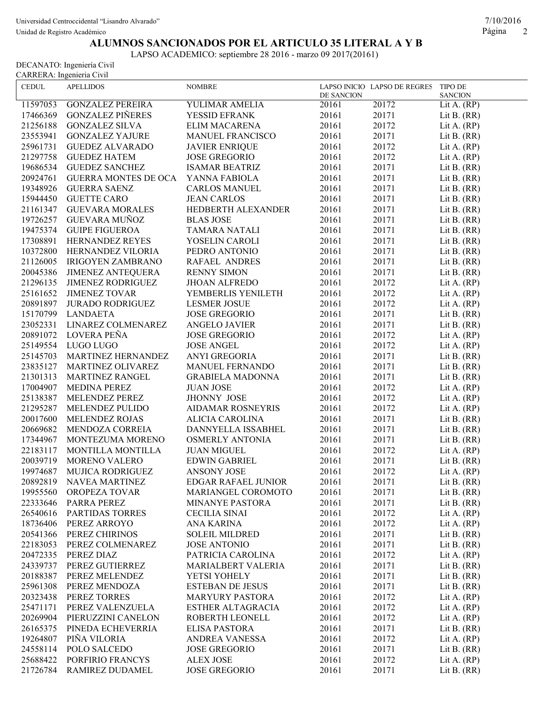Unidad de Registro Académico Página 2

## **ALUMNOS SANCIONADOS POR EL ARTICULO 35 LITERAL A Y B**

LAPSO ACADEMICO: septiembre 28 2016 - marzo 09 2017(20161)

DECANATO: Ingeniería Civil CARRERA: Ingenieria Civil

| DE SANCION<br><b>SANCION</b><br><b>GONZALEZ PEREIRA</b><br>YULIMAR AMELIA<br>20172<br>11597053<br>20161<br>Lit A. $(RP)$<br><b>GONZALEZ PIÑERES</b><br>20161<br>20171<br>17466369<br>YESSID EFRANK<br>Lit B. $(RR)$<br>21256188<br><b>GONZALEZ SILVA</b><br>ELIM MACARENA<br>20161<br>20172<br>Lit A. $(RP)$<br>20161<br>20171<br>23553941<br><b>GONZALEZ YAJURE</b><br>MANUEL FRANCISCO<br>Lit B. $(RR)$<br>20161<br>20172<br><b>JAVIER ENRIQUE</b> | LAPSO INICIO LAPSO DE REGRES TIPO DE |
|------------------------------------------------------------------------------------------------------------------------------------------------------------------------------------------------------------------------------------------------------------------------------------------------------------------------------------------------------------------------------------------------------------------------------------------------------|--------------------------------------|
|                                                                                                                                                                                                                                                                                                                                                                                                                                                      |                                      |
|                                                                                                                                                                                                                                                                                                                                                                                                                                                      |                                      |
|                                                                                                                                                                                                                                                                                                                                                                                                                                                      |                                      |
|                                                                                                                                                                                                                                                                                                                                                                                                                                                      |                                      |
|                                                                                                                                                                                                                                                                                                                                                                                                                                                      |                                      |
| 25961731<br><b>GUEDEZ ALVARADO</b><br>Lit A. $(RP)$                                                                                                                                                                                                                                                                                                                                                                                                  |                                      |
| 20172<br><b>GUEDEZ HATEM</b><br><b>JOSE GREGORIO</b><br>20161<br>21297758<br>Lit A. $(RP)$                                                                                                                                                                                                                                                                                                                                                           |                                      |
| 20171<br>19686534<br><b>GUEDEZ SANCHEZ</b><br>20161<br><b>ISAMAR BEATRIZ</b><br>Lit B. $(RR)$                                                                                                                                                                                                                                                                                                                                                        |                                      |
| 20161<br>20171<br>20924761<br><b>GUERRA MONTES DE OCA</b><br>YANNA FABIOLA<br>Lit B. $(RR)$                                                                                                                                                                                                                                                                                                                                                          |                                      |
| 20171<br>19348926<br>20161<br><b>GUERRA SAENZ</b><br><b>CARLOS MANUEL</b><br>Lit B. $(RR)$                                                                                                                                                                                                                                                                                                                                                           |                                      |
| 20171<br>15944450<br><b>GUETTE CARO</b><br><b>JEAN CARLOS</b><br>20161<br>Lit B. $(RR)$                                                                                                                                                                                                                                                                                                                                                              |                                      |
| 20171<br>21161347<br><b>GUEVARA MORALES</b><br>HEDBERTH ALEXANDER<br>20161<br>Lit B. $(RR)$                                                                                                                                                                                                                                                                                                                                                          |                                      |
| GUEVARA MUÑOZ<br>20171<br>19726257<br><b>BLAS JOSE</b><br>20161<br>Lit B. $(RR)$                                                                                                                                                                                                                                                                                                                                                                     |                                      |
| 20171<br>19475374<br><b>GUIPE FIGUEROA</b><br>TAMARA NATALI<br>20161<br>Lit B. $(RR)$                                                                                                                                                                                                                                                                                                                                                                |                                      |
| 17308891<br>HERNANDEZ REYES<br>20161<br>20171<br>YOSELIN CAROLI<br>Lit B. $(RR)$                                                                                                                                                                                                                                                                                                                                                                     |                                      |
| 10372800<br>HERNANDEZ VILORIA<br>PEDRO ANTONIO<br>20161<br>20171<br>Lit B. $(RR)$                                                                                                                                                                                                                                                                                                                                                                    |                                      |
| 21126005<br>IRIGOYEN ZAMBRANO<br>RAFAEL ANDRES<br>20161<br>20171<br>Lit B. $(RR)$                                                                                                                                                                                                                                                                                                                                                                    |                                      |
| JIMENEZ ANTEQUERA<br>20161<br>20171<br>20045386<br><b>RENNY SIMON</b><br>Lit B. $(RR)$                                                                                                                                                                                                                                                                                                                                                               |                                      |
| 21296135<br><b>JIMENEZ RODRIGUEZ</b><br><b>JHOAN ALFREDO</b><br>20161<br>20172<br>Lit A. $(RP)$                                                                                                                                                                                                                                                                                                                                                      |                                      |
| 20161<br>20172<br>25161652<br><b>JIMENEZ TOVAR</b><br>YEMBERLIS YENILETH<br>Lit A. $(RP)$                                                                                                                                                                                                                                                                                                                                                            |                                      |
| 20172<br><b>JURADO RODRIGUEZ</b><br>20161<br>20891897<br><b>LESMER JOSUE</b><br>Lit A. $(RP)$                                                                                                                                                                                                                                                                                                                                                        |                                      |
| 20171<br>15170799<br><b>LANDAETA</b><br><b>JOSE GREGORIO</b><br>20161<br>Lit B. $(RR)$                                                                                                                                                                                                                                                                                                                                                               |                                      |
| 20171<br>LINAREZ COLMENAREZ<br>20161<br>23052331<br><b>ANGELO JAVIER</b><br>Lit B. $(RR)$                                                                                                                                                                                                                                                                                                                                                            |                                      |
| LOVERA PEÑA<br>20172<br>20891072<br><b>JOSE GREGORIO</b><br>20161<br>Lit A. $(RP)$                                                                                                                                                                                                                                                                                                                                                                   |                                      |
| 20161<br>20172<br>25149554<br>LUGO LUGO<br><b>JOSE ANGEL</b><br>Lit A. $(RP)$                                                                                                                                                                                                                                                                                                                                                                        |                                      |
| 20161<br>20171<br>25145703<br>MARTINEZ HERNANDEZ<br>ANYI GREGORIA<br>Lit B. $(RR)$                                                                                                                                                                                                                                                                                                                                                                   |                                      |
| 20171<br>MARTINEZ OLIVAREZ<br>20161<br>23835127<br><b>MANUEL FERNANDO</b><br>Lit B. $(RR)$                                                                                                                                                                                                                                                                                                                                                           |                                      |
| 20171<br>21301313<br>MARTINEZ RANGEL<br>20161<br><b>GRABIELA MADONNA</b><br>Lit B. $(RR)$                                                                                                                                                                                                                                                                                                                                                            |                                      |
| 20172<br><b>MEDINA PEREZ</b><br>20161<br>17004907<br><b>JUAN JOSE</b><br>Lit A. $(RP)$                                                                                                                                                                                                                                                                                                                                                               |                                      |
| 20161<br>20172<br>25138387<br>MELENDEZ PEREZ<br><b>JHONNY JOSE</b><br>Lit A. $(RP)$                                                                                                                                                                                                                                                                                                                                                                  |                                      |
| MELENDEZ PULIDO<br>20161<br>20172<br>21295287<br>AIDAMAR ROSNEYRIS<br>Lit A. $(RP)$                                                                                                                                                                                                                                                                                                                                                                  |                                      |
| 20017600<br>MELENDEZ ROJAS<br>20161<br>20171<br>ALICIA CAROLINA<br>Lit B. $(RR)$                                                                                                                                                                                                                                                                                                                                                                     |                                      |
| 20161<br>20171<br>20669682<br>MENDOZA CORREIA<br>DANNYELLA ISSABHEL<br>Lit B. $(RR)$                                                                                                                                                                                                                                                                                                                                                                 |                                      |
| 20161<br>20171<br>17344967<br>MONTEZUMA MORENO<br><b>OSMERLY ANTONIA</b><br>Lit B. $(RR)$                                                                                                                                                                                                                                                                                                                                                            |                                      |
| 20161<br>20172<br>22183117<br>MONTILLA MONTILLA<br><b>JUAN MIGUEL</b><br>Lit A. $(RP)$                                                                                                                                                                                                                                                                                                                                                               |                                      |
| 20161<br>20171<br>20039719<br><b>MORENO VALERO</b><br><b>EDWIN GABRIEL</b><br>Lit B. $(RR)$                                                                                                                                                                                                                                                                                                                                                          |                                      |
|                                                                                                                                                                                                                                                                                                                                                                                                                                                      |                                      |
|                                                                                                                                                                                                                                                                                                                                                                                                                                                      |                                      |
| 20172<br>20161<br>19974687<br><b>MUJICA RODRIGUEZ</b><br><b>ANSONY JOSE</b><br>Lit A. $(RP)$                                                                                                                                                                                                                                                                                                                                                         |                                      |
| 20161<br>20171<br>EDGAR RAFAEL JUNIOR<br>Lit B. $(RR)$<br>20892819<br>NAVEA MARTINEZ                                                                                                                                                                                                                                                                                                                                                                 |                                      |
| OROPEZA TOVAR<br>20161<br>20171<br>19955560<br>MARIANGEL COROMOTO<br>Lit B. $(RR)$                                                                                                                                                                                                                                                                                                                                                                   |                                      |
| 22333646<br>PARRA PEREZ<br>20161<br>20171<br>MINANYE PASTORA<br>Lit B. $(RR)$                                                                                                                                                                                                                                                                                                                                                                        |                                      |
| PARTIDAS TORRES<br>20161<br>20172<br>26540616<br><b>CECILIA SINAI</b><br>Lit A. $(RP)$                                                                                                                                                                                                                                                                                                                                                               |                                      |
| 20161<br>20172<br>18736406<br>PEREZ ARROYO<br><b>ANA KARINA</b><br>Lit A. $(RP)$                                                                                                                                                                                                                                                                                                                                                                     |                                      |
| <b>SOLEIL MILDRED</b><br>20161<br>20171<br>20541366<br>PEREZ CHIRINOS<br>Lit B. $(RR)$                                                                                                                                                                                                                                                                                                                                                               |                                      |
| 20161<br>20171<br>22183053<br>PEREZ COLMENAREZ<br><b>JOSE ANTONIO</b><br>Lit B. $(RR)$                                                                                                                                                                                                                                                                                                                                                               |                                      |
| 20161<br>20472335<br>PEREZ DIAZ<br>PATRICIA CAROLINA<br>20172<br>Lit A. $(RP)$                                                                                                                                                                                                                                                                                                                                                                       |                                      |
| 20161<br>24339737<br>PEREZ GUTIERREZ<br><b>MARIALBERT VALERIA</b><br>20171<br>Lit B. $(RR)$                                                                                                                                                                                                                                                                                                                                                          |                                      |
| 20188387<br>PEREZ MELENDEZ<br>YETSI YOHELY<br>20161<br>20171<br>Lit B. $(RR)$                                                                                                                                                                                                                                                                                                                                                                        |                                      |
| PEREZ MENDOZA<br><b>ESTEBAN DE JESUS</b><br>20161<br>25961308<br>20171<br>Lit B. $(RR)$                                                                                                                                                                                                                                                                                                                                                              |                                      |
| PEREZ TORRES<br>20161<br>20172<br>20323438<br><b>MARYURY PASTORA</b><br>Lit A. $(RP)$                                                                                                                                                                                                                                                                                                                                                                |                                      |
| PEREZ VALENZUELA<br>25471171<br>ESTHER ALTAGRACIA<br>20161<br>20172<br>Lit A. $(RP)$                                                                                                                                                                                                                                                                                                                                                                 |                                      |
| 20161<br>20172<br>20269904<br>PIERUZZINI CANELON<br>ROBERTH LEONELL<br>Lit A. $(RP)$                                                                                                                                                                                                                                                                                                                                                                 |                                      |
| 20161<br>PINEDA ECHEVERRIA<br><b>ELISA PASTORA</b><br>20171<br>Lit B. $(RR)$<br>26165375                                                                                                                                                                                                                                                                                                                                                             |                                      |
| 19264807<br>PIÑA VILORIA<br>20161<br>20172<br>ANDREA VANESSA<br>Lit A. $(RP)$                                                                                                                                                                                                                                                                                                                                                                        |                                      |
| POLO SALCEDO<br><b>JOSE GREGORIO</b><br>20161<br>20171<br>24558114<br>Lit B. $(RR)$<br>PORFIRIO FRANCYS<br>20161<br>20172<br>25688422<br><b>ALEX JOSE</b><br>Lit A. $(RP)$                                                                                                                                                                                                                                                                           |                                      |